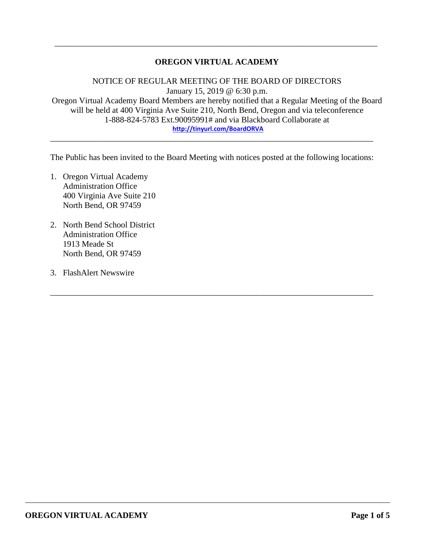# **OREGON VIRTUAL ACADEMY**

\_\_\_\_\_\_\_\_\_\_\_\_\_\_\_\_\_\_\_\_\_\_\_\_\_\_\_\_\_\_\_\_\_\_\_\_\_\_\_\_\_\_\_\_\_\_\_\_\_\_\_\_\_\_\_\_\_\_\_\_\_\_\_\_\_\_\_\_\_\_\_\_\_\_\_\_\_

NOTICE OF REGULAR MEETING OF THE BOARD OF DIRECTORS January 15, 2019 @ 6:30 p.m. Oregon Virtual Academy Board Members are hereby notified that a Regular Meeting of the Board will be held at 400 Virginia Ave Suite 210, North Bend, Oregon and via teleconference 1-888-824-5783 Ext.90095991# and via Blackboard Collaborate at **<http://tinyurl.com/BoardORVA>**

The Public has been invited to the Board Meeting with notices posted at the following locations:

\_\_\_\_\_\_\_\_\_\_\_\_\_\_\_\_\_\_\_\_\_\_\_\_\_\_\_\_\_\_\_\_\_\_\_\_\_\_\_\_\_\_\_\_\_\_\_\_\_\_\_\_\_\_\_\_\_\_\_\_\_\_\_\_\_\_\_\_\_\_\_\_\_\_\_\_\_

\_\_\_\_\_\_\_\_\_\_\_\_\_\_\_\_\_\_\_\_\_\_\_\_\_\_\_\_\_\_\_\_\_\_\_\_\_\_\_\_\_\_\_\_\_\_\_\_\_\_\_\_\_\_\_\_\_\_\_\_\_\_\_\_\_\_\_\_\_\_\_\_\_\_\_\_\_

- 1. Oregon Virtual Academy Administration Office 400 Virginia Ave Suite 210 North Bend, OR 97459
- 2. North Bend School District Administration Office 1913 Meade St North Bend, OR 97459
- 3. FlashAlert Newswire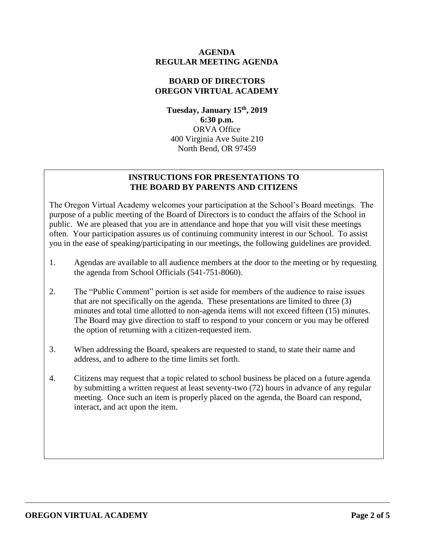# **AGENDA REGULAR MEETING AGENDA**

# **BOARD OF DIRECTORS OREGON VIRTUAL ACADEMY**

**Tuesday, January 15th , 2019 6:30 p.m.** ORVA Office 400 Virginia Ave Suite 210 North Bend, OR 97459

# **INSTRUCTIONS FOR PRESENTATIONS TO THE BOARD BY PARENTS AND CITIZENS**

The Oregon Virtual Academy welcomes your participation at the School's Board meetings. The purpose of a public meeting of the Board of Directors is to conduct the affairs of the School in public. We are pleased that you are in attendance and hope that you will visit these meetings often. Your participation assures us of continuing community interest in our School. To assist you in the ease of speaking/participating in our meetings, the following guidelines are provided.

- 1. Agendas are available to all audience members at the door to the meeting or by requesting the agenda from School Officials (541-751-8060).
- 2. The "Public Comment" portion is set aside for members of the audience to raise issues that are not specifically on the agenda. These presentations are limited to three (3) minutes and total time allotted to non-agenda items will not exceed fifteen (15) minutes. The Board may give direction to staff to respond to your concern or you may be offered the option of returning with a citizen-requested item.
- 3. When addressing the Board, speakers are requested to stand, to state their name and address, and to adhere to the time limits set forth.
- 4. Citizens may request that a topic related to school business be placed on a future agenda by submitting a written request at least seventy-two (72) hours in advance of any regular meeting. Once such an item is properly placed on the agenda, the Board can respond, interact, and act upon the item.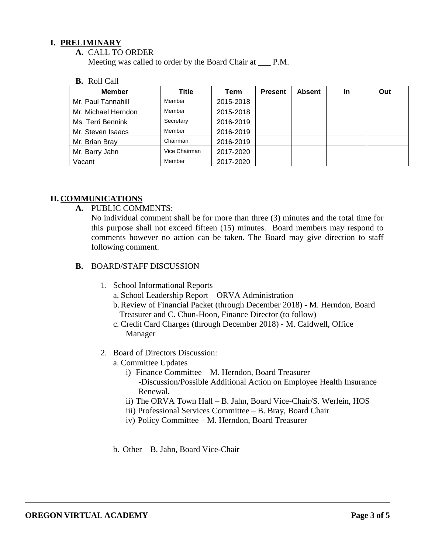# **I. PRELIMINARY**

**A.** CALL TO ORDER

Meeting was called to order by the Board Chair at \_\_\_ P.M.

#### **B.** Roll Call

| <b>Member</b>       | <b>Title</b>  | Term      | <b>Present</b> | <b>Absent</b> | In | Out |
|---------------------|---------------|-----------|----------------|---------------|----|-----|
| Mr. Paul Tannahill  | Member        | 2015-2018 |                |               |    |     |
| Mr. Michael Herndon | Member        | 2015-2018 |                |               |    |     |
| Ms. Terri Bennink   | Secretary     | 2016-2019 |                |               |    |     |
| Mr. Steven Isaacs   | Member        | 2016-2019 |                |               |    |     |
| Mr. Brian Bray      | Chairman      | 2016-2019 |                |               |    |     |
| Mr. Barry Jahn      | Vice Chairman | 2017-2020 |                |               |    |     |
| Vacant              | Member        | 2017-2020 |                |               |    |     |

# **II. COMMUNICATIONS**

**A.** PUBLIC COMMENTS:

No individual comment shall be for more than three (3) minutes and the total time for this purpose shall not exceed fifteen (15) minutes. Board members may respond to comments however no action can be taken. The Board may give direction to staff following comment.

### **B.** BOARD/STAFF DISCUSSION

- 1. School Informational Reports
	- a. School Leadership Report ORVA Administration
	- b.Review of Financial Packet (through December 2018) M. Herndon, Board Treasurer and C. Chun-Hoon, Finance Director (to follow)
	- c. Credit Card Charges (through December 2018) M. Caldwell, Office Manager
- 2. Board of Directors Discussion:
	- a. Committee Updates
		- i) Finance Committee M. Herndon, Board Treasurer -Discussion/Possible Additional Action on Employee Health Insurance Renewal.
		- ii) The ORVA Town Hall B. Jahn, Board Vice-Chair/S. Werlein, HOS
		- iii) Professional Services Committee B. Bray, Board Chair
		- iv) Policy Committee M. Herndon, Board Treasurer
	- b. Other B. Jahn, Board Vice-Chair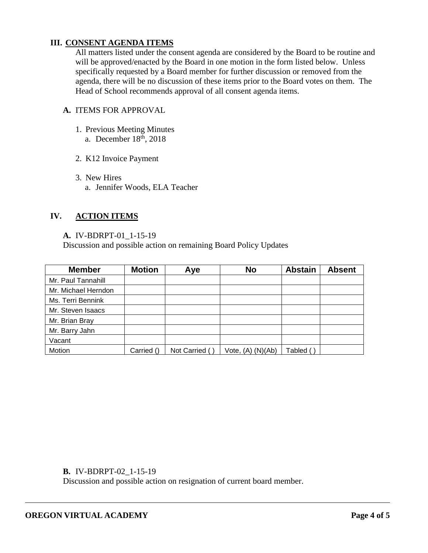# **III. CONSENT AGENDA ITEMS**

All matters listed under the consent agenda are considered by the Board to be routine and will be approved/enacted by the Board in one motion in the form listed below. Unless specifically requested by a Board member for further discussion or removed from the agenda, there will be no discussion of these items prior to the Board votes on them. The Head of School recommends approval of all consent agenda items.

# **A.** ITEMS FOR APPROVAL

- 1. Previous Meeting Minutes a. December 18<sup>th</sup>, 2018
- 2. K12 Invoice Payment
- 3. New Hires a. Jennifer Woods, ELA Teacher

### **IV. ACTION ITEMS**

#### **A.** IV-BDRPT-01\_1-15-19

Discussion and possible action on remaining Board Policy Updates

| <b>Member</b>       | <b>Motion</b> | Aye           | <b>No</b>         | <b>Abstain</b> | <b>Absent</b> |
|---------------------|---------------|---------------|-------------------|----------------|---------------|
| Mr. Paul Tannahill  |               |               |                   |                |               |
| Mr. Michael Herndon |               |               |                   |                |               |
| Ms. Terri Bennink   |               |               |                   |                |               |
| Mr. Steven Isaacs   |               |               |                   |                |               |
| Mr. Brian Bray      |               |               |                   |                |               |
| Mr. Barry Jahn      |               |               |                   |                |               |
| Vacant              |               |               |                   |                |               |
| Motion              | Carried ()    | Not Carried ( | Vote, (A) (N)(Ab) | Tabled (       |               |

**B.** IV-BDRPT-02\_1-15-19

Discussion and possible action on resignation of current board member.